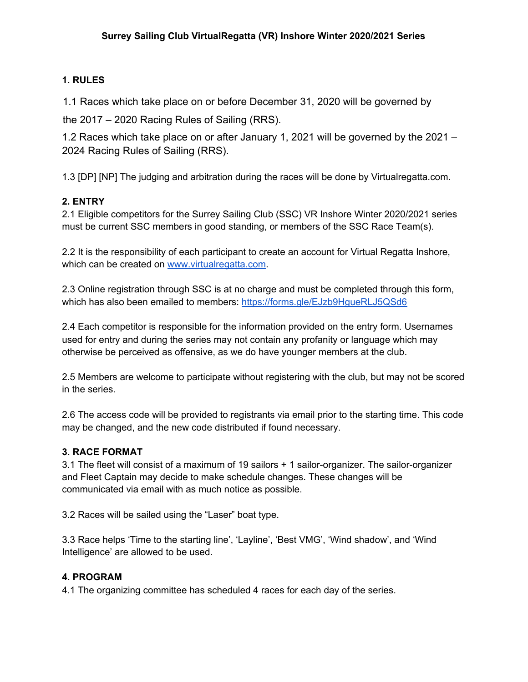# **1. RULES**

1.1 Races which take place on or before December 31, 2020 will be governed by

the 2017 – 2020 Racing Rules of Sailing (RRS).

1.2 Races which take place on or after January 1, 2021 will be governed by the 2021 – 2024 Racing Rules of Sailing (RRS).

1.3 [DP] [NP] The judging and arbitration during the races will be done by Virtualregatta.com.

## **2. ENTRY**

2.1 Eligible competitors for the Surrey Sailing Club (SSC) VR Inshore Winter 2020/2021 series must be current SSC members in good standing, or members of the SSC Race Team(s).

2.2 It is the responsibility of each participant to create an account for Virtual Regatta Inshore, which can be created on [www.virtualregatta.com](http://www.virtualregatta.com/).

2.3 Online registration through SSC is at no charge and must be completed through this form, which has also been emailed to members: <https://forms.gle/EJzb9HgueRLJ5QSd6>

2.4 Each competitor is responsible for the information provided on the entry form. Usernames used for entry and during the series may not contain any profanity or language which may otherwise be perceived as offensive, as we do have younger members at the club.

2.5 Members are welcome to participate without registering with the club, but may not be scored in the series.

2.6 The access code will be provided to registrants via email prior to the starting time. This code may be changed, and the new code distributed if found necessary.

## **3. RACE FORMAT**

3.1 The fleet will consist of a maximum of 19 sailors + 1 sailor-organizer. The sailor-organizer and Fleet Captain may decide to make schedule changes. These changes will be communicated via email with as much notice as possible.

3.2 Races will be sailed using the "Laser" boat type.

3.3 Race helps 'Time to the starting line', 'Layline', 'Best VMG', 'Wind shadow', and 'Wind Intelligence' are allowed to be used.

## **4. PROGRAM**

4.1 The organizing committee has scheduled 4 races for each day of the series.